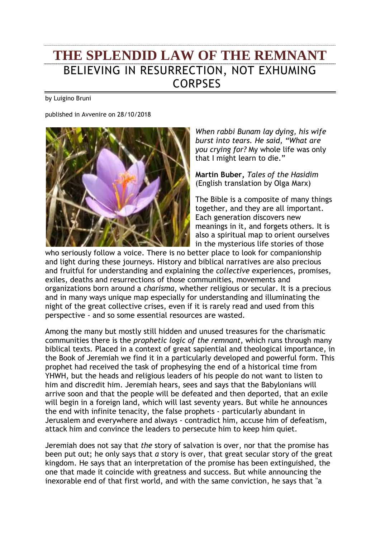## **THE SPLENDID LAW OF THE REMNANT** BELIEVING IN RESURRECTION, NOT EXHUMING CORPSES

by Luigino Bruni

published in Avvenire on 28/10/2018



*When rabbi Bunam lay dying, his wife burst into tears. He said, "What are you crying for?* My whole life was only that I might learn to die."

**Martin Buber,** *Tales of the Hasidim*  (English translation by Olga Marx)

The Bible is a composite of many things together, and they are all important. Each generation discovers new meanings in it, and forgets others. It is also a spiritual map to orient ourselves in the mysterious life stories of those

who seriously follow a voice. There is no better place to look for companionship and light during these journeys. History and biblical narratives are also precious and fruitful for understanding and explaining the *collective* experiences, promises, exiles, deaths and resurrections of those communities, movements and organizations born around a *charisma*, whether religious or secular. It is a precious and in many ways unique map especially for understanding and illuminating the night of the great collective crises, even if it is rarely read and used from this perspective - and so some essential resources are wasted.

Among the many but mostly still hidden and unused treasures for the charismatic communities there is the *prophetic logic of the remnant*, which runs through many biblical texts. Placed in a context of great sapiential and theological importance, in the Book of Jeremiah we find it in a particularly developed and powerful form. This prophet had received the task of prophesying the end of a historical time from YHWH, but the heads and religious leaders of his people do not want to listen to him and discredit him. Jeremiah hears, sees and says that the Babylonians will arrive soon and that the people will be defeated and then deported, that an exile will begin in a foreign land, which will last seventy years. But while he announces the end with infinite tenacity, the false prophets - particularly abundant in Jerusalem and everywhere and always - contradict him, accuse him of defeatism, attack him and convince the leaders to persecute him to keep him quiet.

Jeremiah does not say that *the* story of salvation is over, nor that the promise has been put out; he only says that *a* story is over, that great secular story of the great kingdom. He says that an interpretation of the promise has been extinguished, the one that made it coincide with greatness and success. But while announcing the inexorable end of that first world, and with the same conviction, he says that "a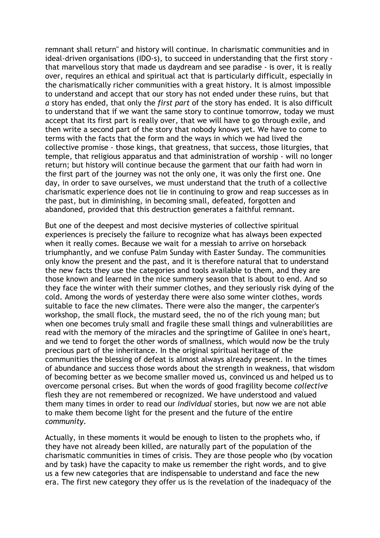remnant shall return" and history will continue. In charismatic communities and in ideal-driven organisations (IDO-s), to succeed in understanding that the first story that marvellous story that made us daydream and see paradise - is over, it is really over, requires an ethical and spiritual act that is particularly difficult, especially in the charismatically richer communities with a great history. It is almost impossible to understand and accept that our story has not ended under these ruins, but that *a* story has ended, that only the *first part* of the story has ended. It is also difficult to understand that if we want the same story to continue tomorrow, today we must accept that its first part is really over, that we will have to go through exile, and then write a second part of the story that nobody knows yet. We have to come to terms with the facts that the form and the ways in which we had lived the collective promise - those kings, that greatness, that success, those liturgies, that temple, that religious apparatus and that administration of worship - will no longer return; but history will continue because the garment that our faith had worn in the first part of the journey was not the only one, it was only the first one. One day, in order to save ourselves, we must understand that the truth of a collective charismatic experience does not lie in continuing to grow and reap successes as in the past, but in diminishing, in becoming small, defeated, forgotten and abandoned, provided that this destruction generates a faithful remnant.

But one of the deepest and most decisive mysteries of collective spiritual experiences is precisely the failure to recognize what has always been expected when it really comes. Because we wait for a messiah to arrive on horseback triumphantly, and we confuse Palm Sunday with Easter Sunday. The communities only know the present and the past, and it is therefore natural that to understand the new facts they use the categories and tools available to them, and they are those known and learned in the nice summery season that is about to end. And so they face the winter with their summer clothes, and they seriously risk dying of the cold. Among the words of yesterday there were also some winter clothes, words suitable to face the new climates. There were also the manger, the carpenter's workshop, the small flock, the mustard seed, the no of the rich young man; but when one becomes truly small and fragile these small things and vulnerabilities are read with the memory of the miracles and the springtime of Galilee in one's heart, and we tend to forget the other words of smallness, which would now be the truly precious part of the inheritance. In the original spiritual heritage of the communities the blessing of defeat is almost always already present. In the times of abundance and success those words about the strength in weakness, that wisdom of becoming better as we become smaller moved us, convinced us and helped us to overcome personal crises. But when the words of good fragility become *collective* flesh they are not remembered or recognized. We have understood and valued them many times in order to read our *individual* stories, but now we are not able to make them become light for the present and the future of the entire *community*.

Actually, in these moments it would be enough to listen to the prophets who, if they have not already been killed, are naturally part of the population of the charismatic communities in times of crisis. They are those people who (by vocation and by task) have the capacity to make us remember the right words, and to give us a few new categories that are indispensable to understand and face the new era. The first new category they offer us is the revelation of the inadequacy of the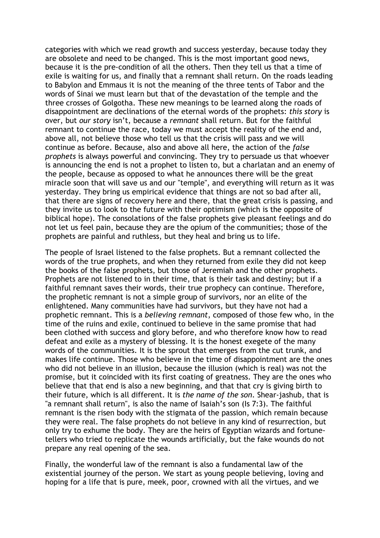categories with which we read growth and success yesterday, because today they are obsolete and need to be changed. This is the most important good news, because it is the pre-condition of all the others. Then they tell us that a time of exile is waiting for us, and finally that a remnant shall return. On the roads leading to Babylon and Emmaus it is not the meaning of the three tents of Tabor and the words of Sinai we must learn but that of the devastation of the temple and the three crosses of Golgotha. These new meanings to be learned along the roads of disappointment are declinations of the eternal words of the prophets: *this story* is over, but *our story* isn't, because a *remnant* shall return. But for the faithful remnant to continue the race, today we must accept the reality of the end and, above all, not believe those who tell us that the crisis will pass and we will continue as before. Because, also and above all here, the action of the *false prophets* is always powerful and convincing. They try to persuade us that whoever is announcing the end is not a prophet to listen to, but a charlatan and an enemy of the people, because as opposed to what he announces there will be the great miracle soon that will save us and our "temple", and everything will return as it was yesterday. They bring us empirical evidence that things are not so bad after all, that there are signs of recovery here and there, that the great crisis is passing, and they invite us to look to the future with their optimism (which is the opposite of biblical hope). The consolations of the false prophets give pleasant feelings and do not let us feel pain, because they are the opium of the communities; those of the prophets are painful and ruthless, but they heal and bring us to life.

The people of Israel listened to the false prophets. But a remnant collected the words of the true prophets, and when they returned from exile they did not keep the books of the false prophets, but those of Jeremiah and the other prophets. Prophets are not listened to in their time, that is their task and destiny; but if a faithful remnant saves their words, their true prophecy can continue. Therefore, the prophetic remnant is not a simple group of survivors, nor an elite of the enlightened. Many communities have had survivors, but they have not had a prophetic remnant. This is a *believing remnant*, composed of those few who, in the time of the ruins and exile, continued to believe in the same promise that had been clothed with success and glory before, and who therefore know how to read defeat and exile as a mystery of blessing. It is the honest exegete of the many words of the communities. It is the sprout that emerges from the cut trunk, and makes life continue. Those who believe in the time of disappointment are the ones who did not believe in an illusion, because the illusion (which is real) was not the promise, but it coincided with its first coating of greatness. They are the ones who believe that that end is also a new beginning, and that that cry is giving birth to their future, which is all different. It is *the name of the son*. Shear-jashub, that is "a remnant shall return", is also the name of Isaiah's son (Is 7:3). The faithful remnant is the risen body with the stigmata of the passion, which remain because they were real. The false prophets do not believe in any kind of resurrection, but only try to exhume the body. They are the heirs of Egyptian wizards and fortunetellers who tried to replicate the wounds artificially, but the fake wounds do not prepare any real opening of the sea.

Finally, the wonderful law of the remnant is also a fundamental law of the existential journey of the person. We start as young people believing, loving and hoping for a life that is pure, meek, poor, crowned with all the virtues, and we